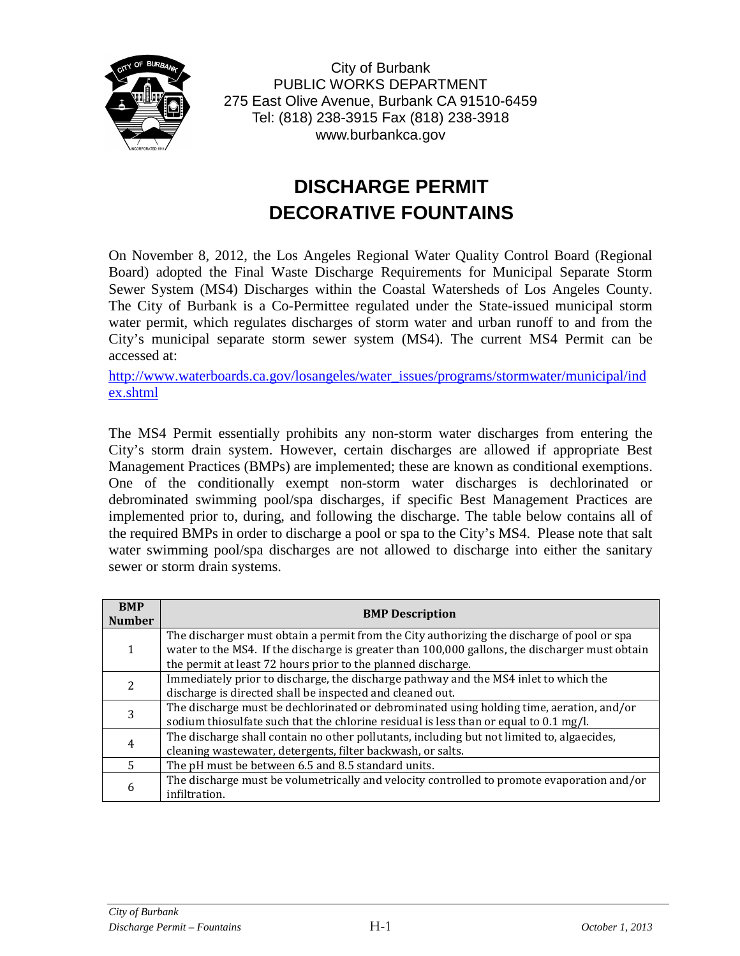

City of Burbank PUBLIC WORKS DEPARTMENT 275 East Olive Avenue, Burbank CA 91510-6459 Tel: (818) 238-3915 Fax (818) 238-3918 www.burbankca.gov

## **DISCHARGE PERMIT DECORATIVE FOUNTAINS**

On November 8, 2012, the Los Angeles Regional Water Quality Control Board (Regional Board) adopted the Final Waste Discharge Requirements for Municipal Separate Storm Sewer System (MS4) Discharges within the Coastal Watersheds of Los Angeles County. The City of Burbank is a Co-Permittee regulated under the State-issued municipal storm water permit, which regulates discharges of storm water and urban runoff to and from the City's municipal separate storm sewer system (MS4). The current MS4 Permit can be accessed at:

[http://www.waterboards.ca.gov/losangeles/water\\_issues/programs/stormwater/municipal/ind](http://www.waterboards.ca.gov/losangeles/water_issues/programs/stormwater/municipal/index.shtml) [ex.shtml](http://www.waterboards.ca.gov/losangeles/water_issues/programs/stormwater/municipal/index.shtml)

The MS4 Permit essentially prohibits any non-storm water discharges from entering the City's storm drain system. However, certain discharges are allowed if appropriate Best Management Practices (BMPs) are implemented; these are known as conditional exemptions. One of the conditionally exempt non-storm water discharges is dechlorinated or debrominated swimming pool/spa discharges, if specific Best Management Practices are implemented prior to, during, and following the discharge. The table below contains all of the required BMPs in order to discharge a pool or spa to the City's MS4. Please note that salt water swimming pool/spa discharges are not allowed to discharge into either the sanitary sewer or storm drain systems.

| <b>BMP</b><br><b>Number</b> | <b>BMP Description</b>                                                                                                                                                                                                                                       |  |  |  |
|-----------------------------|--------------------------------------------------------------------------------------------------------------------------------------------------------------------------------------------------------------------------------------------------------------|--|--|--|
|                             | The discharger must obtain a permit from the City authorizing the discharge of pool or spa<br>water to the MS4. If the discharge is greater than 100,000 gallons, the discharger must obtain<br>the permit at least 72 hours prior to the planned discharge. |  |  |  |
|                             | Immediately prior to discharge, the discharge pathway and the MS4 inlet to which the<br>discharge is directed shall be inspected and cleaned out.                                                                                                            |  |  |  |
|                             | The discharge must be dechlorinated or debrominated using holding time, aeration, and/or<br>sodium thiosulfate such that the chlorine residual is less than or equal to 0.1 mg/l.                                                                            |  |  |  |
|                             | The discharge shall contain no other pollutants, including but not limited to, algaecides,<br>cleaning wastewater, detergents, filter backwash, or salts.                                                                                                    |  |  |  |
|                             | The pH must be between 6.5 and 8.5 standard units.                                                                                                                                                                                                           |  |  |  |
| h                           | The discharge must be volumetrically and velocity controlled to promote evaporation and/or<br>infiltration.                                                                                                                                                  |  |  |  |